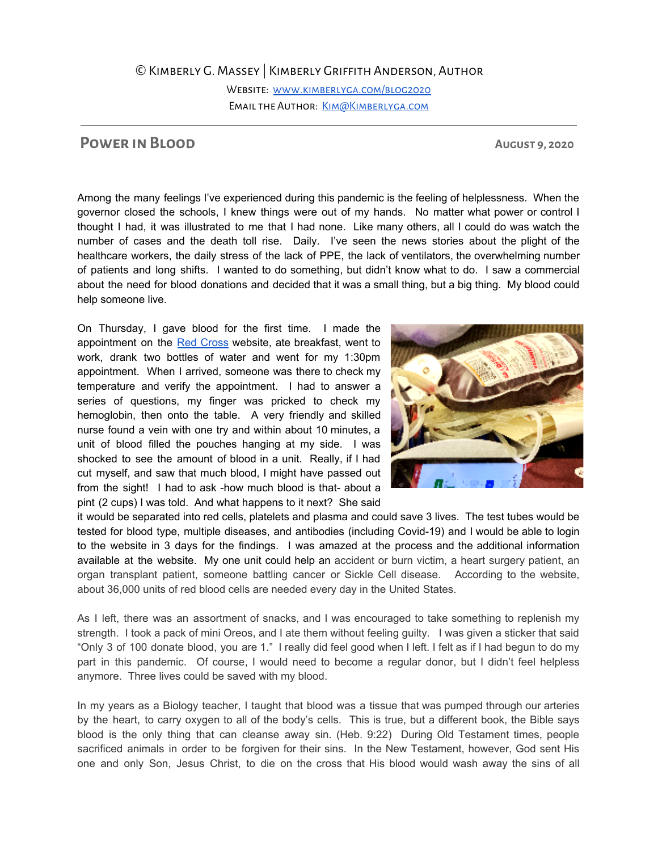©Kimberly G. Massey | Kimberly Griffith Anderson, Author

Website: [www.kimberlyga.com/blog2020](http://www.kimberlyga.com/blog2020) EMAIL THE AUTHOR: KIM@KIMBERLYGA.COM

## **POWER IN BLOOD AUGUST 9,2020**

Among the many feelings I've experienced during this pandemic is the feeling of helplessness. When the governor closed the schools, I knew things were out of my hands. No matter what power or control I thought I had, it was illustrated to me that I had none. Like many others, all I could do was watch the number of cases and the death toll rise. Daily. I've seen the news stories about the plight of the healthcare workers, the daily stress of the lack of PPE, the lack of ventilators, the overwhelming number of patients and long shifts. I wanted to do something, but didn't know what to do. I saw a commercial about the need for blood donations and decided that it was a small thing, but a big thing. My blood could help someone live.

On Thursday, I gave blood for the first time. I made the appointment on the Red [Cross](https://www.redcrossblood.org/) website, ate breakfast, went to work, drank two bottles of water and went for my 1:30pm appointment. When I arrived, someone was there to check my temperature and verify the appointment. I had to answer a series of questions, my finger was pricked to check my hemoglobin, then onto the table. A very friendly and skilled nurse found a vein with one try and within about 10 minutes, a unit of blood filled the pouches hanging at my side. I was shocked to see the amount of blood in a unit. Really, if I had cut myself, and saw that much blood, I might have passed out from the sight! I had to ask -how much blood is that- about a pint (2 cups) I was told. And what happens to it next? She said



it would be separated into red cells, platelets and plasma and could save 3 lives. The test tubes would be tested for blood type, multiple diseases, and antibodies (including Covid-19) and I would be able to login to the website in 3 days for the findings. I was amazed at the process and the additional information available at the website. My one unit could help an accident or burn victim, a heart surgery patient, an organ transplant patient, someone battling cancer or Sickle Cell disease. According to the website, about 36,000 units of red blood cells are needed every day in the United States.

As I left, there was an assortment of snacks, and I was encouraged to take something to replenish my strength. I took a pack of mini Oreos, and I ate them without feeling guilty. I was given a sticker that said "Only 3 of 100 donate blood, you are 1." I really did feel good when I left. I felt as if I had begun to do my part in this pandemic. Of course, I would need to become a regular donor, but I didn't feel helpless anymore. Three lives could be saved with my blood.

In my years as a Biology teacher, I taught that blood was a tissue that was pumped through our arteries by the heart, to carry oxygen to all of the body's cells. This is true, but a different book, the Bible says blood is the only thing that can cleanse away sin. (Heb. 9:22) During Old Testament times, people sacrificed animals in order to be forgiven for their sins. In the New Testament, however, God sent His one and only Son, Jesus Christ, to die on the cross that His blood would wash away the sins of all